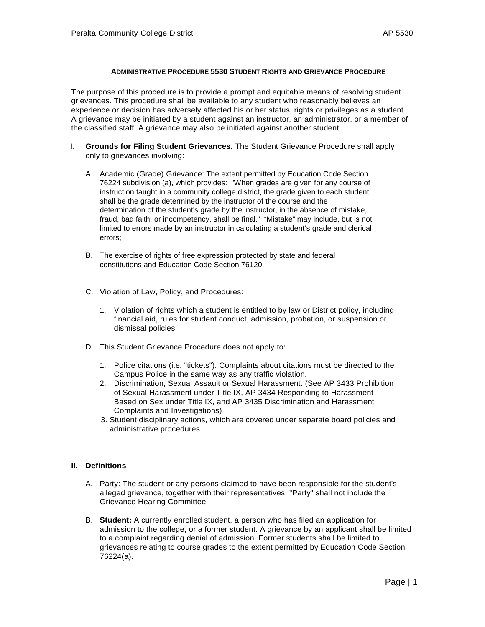### **ADMINISTRATIVE PROCEDURE 5530 STUDENT RIGHTS AND GRIEVANCE PROCEDURE**

The purpose of this procedure is to provide a prompt and equitable means of resolving student grievances. This procedure shall be available to any student who reasonably believes an experience or decision has adversely affected his or her status, rights or privileges as a student. A grievance may be initiated by a student against an instructor, an administrator, or a member of the classified staff. A grievance may also be initiated against another student.

- I. **Grounds for Filing Student Grievances.** The Student Grievance Procedure shall apply only to grievances involving:
	- A. Academic (Grade) Grievance: The extent permitted by Education Code Section 76224 subdivision (a), which provides: "When grades are given for any course of instruction taught in a community college district, the grade given to each student shall be the grade determined by the instructor of the course and the determination of the student's grade by the instructor, in the absence of mistake, fraud, bad faith, or incompetency, shall be final." "Mistake" may include, but is not limited to errors made by an instructor in calculating a student's grade and clerical errors;
	- B. The exercise of rights of free expression protected by state and federal constitutions and Education Code Section 76120.
	- C. Violation of Law, Policy, and Procedures:
		- 1. Violation of rights which a student is entitled to by law or District policy, including financial aid, rules for student conduct, admission, probation, or suspension or dismissal policies.
	- D. This Student Grievance Procedure does not apply to:
		- 1. Police citations (i.e. "tickets"). Complaints about citations must be directed to the Campus Police in the same way as any traffic violation.
		- 2. Discrimination, Sexual Assault or Sexual Harassment. (See AP 3433 Prohibition of Sexual Harassment under Title IX, AP 3434 Responding to Harassment Based on Sex under Title IX, and AP 3435 Discrimination and Harassment Complaints and Investigations)
		- 3. Student disciplinary actions, which are covered under separate board policies and administrative procedures.

# **II. Definitions**

- A. Party: The student or any persons claimed to have been responsible for the student's alleged grievance, together with their representatives. "Party" shall not include the Grievance Hearing Committee.
- B. **Student:** A currently enrolled student, a person who has filed an application for admission to the college, or a former student. A grievance by an applicant shall be limited to a complaint regarding denial of admission. Former students shall be limited to grievances relating to course grades to the extent permitted by Education Code Section 76224(a).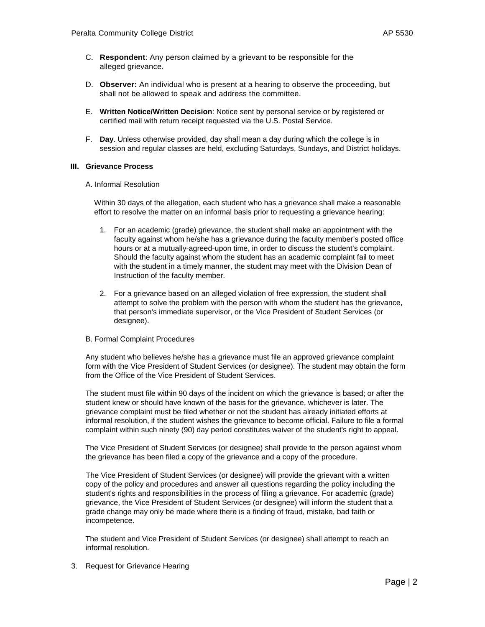- C. **Respondent**: Any person claimed by a grievant to be responsible for the alleged grievance.
- D. **Observer:** An individual who is present at a hearing to observe the proceeding, but shall not be allowed to speak and address the committee.
- E. **Written Notice/Written Decision**: Notice sent by personal service or by registered or certified mail with return receipt requested via the U.S. Postal Service.
- F. **Day**. Unless otherwise provided, day shall mean a day during which the college is in session and regular classes are held, excluding Saturdays, Sundays, and District holidays.

### **III. Grievance Process**

### A. Informal Resolution

Within 30 days of the allegation, each student who has a grievance shall make a reasonable effort to resolve the matter on an informal basis prior to requesting a grievance hearing:

- 1. For an academic (grade) grievance, the student shall make an appointment with the faculty against whom he/she has a grievance during the faculty member's posted office hours or at a mutually-agreed-upon time, in order to discuss the student's complaint. Should the faculty against whom the student has an academic complaint fail to meet with the student in a timely manner, the student may meet with the Division Dean of Instruction of the faculty member.
- 2. For a grievance based on an alleged violation of free expression, the student shall attempt to solve the problem with the person with whom the student has the grievance, that person's immediate supervisor, or the Vice President of Student Services (or designee).

# B. Formal Complaint Procedures

Any student who believes he/she has a grievance must file an approved grievance complaint form with the Vice President of Student Services (or designee). The student may obtain the form from the Office of the Vice President of Student Services.

The student must file within 90 days of the incident on which the grievance is based; or after the student knew or should have known of the basis for the grievance, whichever is later. The grievance complaint must be filed whether or not the student has already initiated efforts at informal resolution, if the student wishes the grievance to become official. Failure to file a formal complaint within such ninety (90) day period constitutes waiver of the student's right to appeal.

The Vice President of Student Services (or designee) shall provide to the person against whom the grievance has been filed a copy of the grievance and a copy of the procedure.

 The Vice President of Student Services (or designee) will provide the grievant with a written copy of the policy and procedures and answer all questions regarding the policy including the student's rights and responsibilities in the process of filing a grievance. For academic (grade) grievance, the Vice President of Student Services (or designee) will inform the student that a grade change may only be made where there is a finding of fraud, mistake, bad faith or incompetence.

The student and Vice President of Student Services (or designee) shall attempt to reach an informal resolution.

3. Request for Grievance Hearing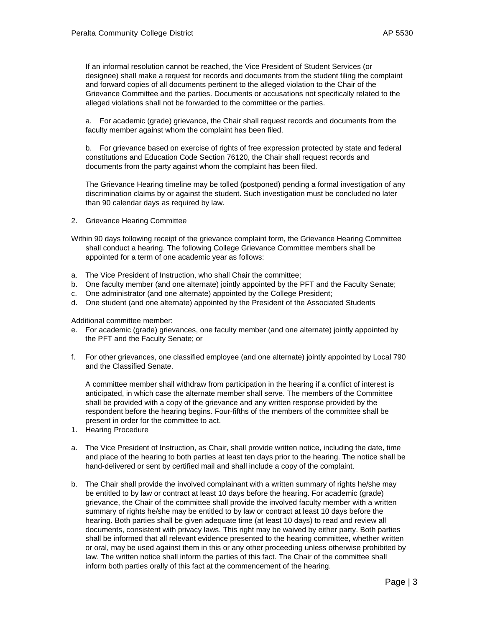If an informal resolution cannot be reached, the Vice President of Student Services (or designee) shall make a request for records and documents from the student filing the complaint and forward copies of all documents pertinent to the alleged violation to the Chair of the Grievance Committee and the parties. Documents or accusations not specifically related to the alleged violations shall not be forwarded to the committee or the parties.

a. For academic (grade) grievance, the Chair shall request records and documents from the faculty member against whom the complaint has been filed.

b. For grievance based on exercise of rights of free expression protected by state and federal constitutions and Education Code Section 76120, the Chair shall request records and documents from the party against whom the complaint has been filed.

The Grievance Hearing timeline may be tolled (postponed) pending a formal investigation of any discrimination claims by or against the student. Such investigation must be concluded no later than 90 calendar days as required by law.

2. Grievance Hearing Committee

Within 90 days following receipt of the grievance complaint form, the Grievance Hearing Committee shall conduct a hearing. The following College Grievance Committee members shall be appointed for a term of one academic year as follows:

- a. The Vice President of Instruction, who shall Chair the committee;
- b. One faculty member (and one alternate) jointly appointed by the PFT and the Faculty Senate;
- c. One administrator (and one alternate) appointed by the College President;
- d. One student (and one alternate) appointed by the President of the Associated Students

Additional committee member:

- e. For academic (grade) grievances, one faculty member (and one alternate) jointly appointed by the PFT and the Faculty Senate; or
- f. For other grievances, one classified employee (and one alternate) jointly appointed by Local 790 and the Classified Senate.

A committee member shall withdraw from participation in the hearing if a conflict of interest is anticipated, in which case the alternate member shall serve. The members of the Committee shall be provided with a copy of the grievance and any written response provided by the respondent before the hearing begins. Four-fifths of the members of the committee shall be present in order for the committee to act.

- 1. Hearing Procedure
- a. The Vice President of Instruction, as Chair, shall provide written notice, including the date, time and place of the hearing to both parties at least ten days prior to the hearing. The notice shall be hand-delivered or sent by certified mail and shall include a copy of the complaint.
- b. The Chair shall provide the involved complainant with a written summary of rights he/she may be entitled to by law or contract at least 10 days before the hearing. For academic (grade) grievance, the Chair of the committee shall provide the involved faculty member with a written summary of rights he/she may be entitled to by law or contract at least 10 days before the hearing. Both parties shall be given adequate time (at least 10 days) to read and review all documents, consistent with privacy laws. This right may be waived by either party. Both parties shall be informed that all relevant evidence presented to the hearing committee, whether written or oral, may be used against them in this or any other proceeding unless otherwise prohibited by law. The written notice shall inform the parties of this fact. The Chair of the committee shall inform both parties orally of this fact at the commencement of the hearing.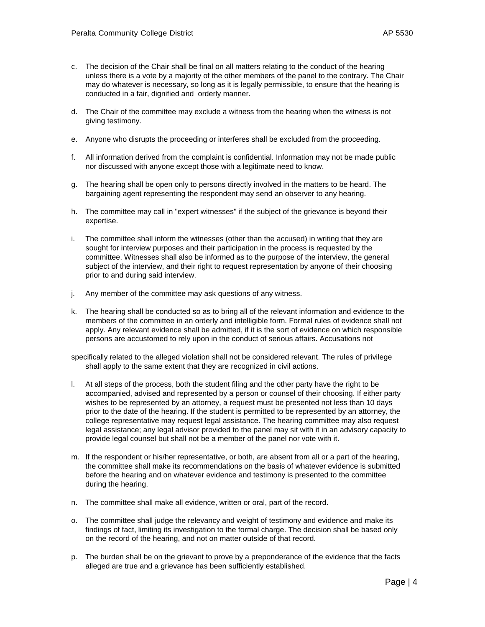- c. The decision of the Chair shall be final on all matters relating to the conduct of the hearing unless there is a vote by a majority of the other members of the panel to the contrary. The Chair may do whatever is necessary, so long as it is legally permissible, to ensure that the hearing is conducted in a fair, dignified and orderly manner.
- d. The Chair of the committee may exclude a witness from the hearing when the witness is not giving testimony.
- e. Anyone who disrupts the proceeding or interferes shall be excluded from the proceeding.
- f. All information derived from the complaint is confidential. Information may not be made public nor discussed with anyone except those with a legitimate need to know.
- g. The hearing shall be open only to persons directly involved in the matters to be heard. The bargaining agent representing the respondent may send an observer to any hearing.
- h. The committee may call in "expert witnesses" if the subject of the grievance is beyond their expertise.
- i. The committee shall inform the witnesses (other than the accused) in writing that they are sought for interview purposes and their participation in the process is requested by the committee. Witnesses shall also be informed as to the purpose of the interview, the general subject of the interview, and their right to request representation by anyone of their choosing prior to and during said interview.
- j. Any member of the committee may ask questions of any witness.
- k. The hearing shall be conducted so as to bring all of the relevant information and evidence to the members of the committee in an orderly and intelligible form. Formal rules of evidence shall not apply. Any relevant evidence shall be admitted, if it is the sort of evidence on which responsible persons are accustomed to rely upon in the conduct of serious affairs. Accusations not

specifically related to the alleged violation shall not be considered relevant. The rules of privilege shall apply to the same extent that they are recognized in civil actions.

- l. At all steps of the process, both the student filing and the other party have the right to be accompanied, advised and represented by a person or counsel of their choosing. If either party wishes to be represented by an attorney, a request must be presented not less than 10 days prior to the date of the hearing. If the student is permitted to be represented by an attorney, the college representative may request legal assistance. The hearing committee may also request legal assistance; any legal advisor provided to the panel may sit with it in an advisory capacity to provide legal counsel but shall not be a member of the panel nor vote with it.
- m. If the respondent or his/her representative, or both, are absent from all or a part of the hearing, the committee shall make its recommendations on the basis of whatever evidence is submitted before the hearing and on whatever evidence and testimony is presented to the committee during the hearing.
- n. The committee shall make all evidence, written or oral, part of the record.
- o. The committee shall judge the relevancy and weight of testimony and evidence and make its findings of fact, limiting its investigation to the formal charge. The decision shall be based only on the record of the hearing, and not on matter outside of that record.
- p. The burden shall be on the grievant to prove by a preponderance of the evidence that the facts alleged are true and a grievance has been sufficiently established.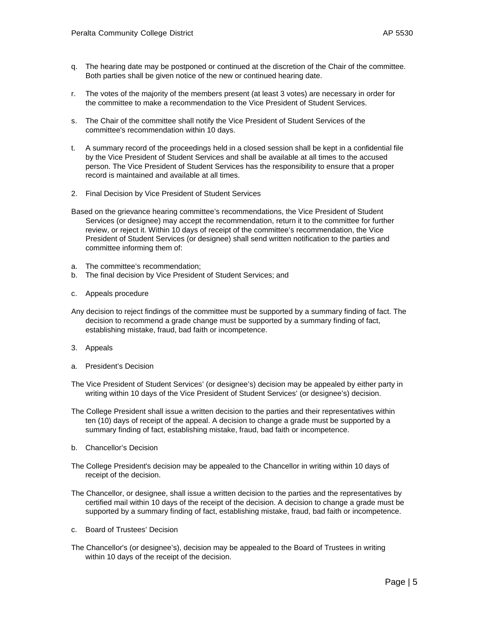- r. The votes of the majority of the members present (at least 3 votes) are necessary in order for the committee to make a recommendation to the Vice President of Student Services.
- s. The Chair of the committee shall notify the Vice President of Student Services of the committee's recommendation within 10 days.
- t. A summary record of the proceedings held in a closed session shall be kept in a confidential file by the Vice President of Student Services and shall be available at all times to the accused person. The Vice President of Student Services has the responsibility to ensure that a proper record is maintained and available at all times.
- 2. Final Decision by Vice President of Student Services
- Based on the grievance hearing committee's recommendations, the Vice President of Student Services (or designee) may accept the recommendation, return it to the committee for further review, or reject it. Within 10 days of receipt of the committee's recommendation, the Vice President of Student Services (or designee) shall send written notification to the parties and committee informing them of:
- a. The committee's recommendation;
- b. The final decision by Vice President of Student Services; and
- c. Appeals procedure
- Any decision to reject findings of the committee must be supported by a summary finding of fact. The decision to recommend a grade change must be supported by a summary finding of fact, establishing mistake, fraud, bad faith or incompetence.
- 3. Appeals
- a. President's Decision
- The Vice President of Student Services' (or designee's) decision may be appealed by either party in writing within 10 days of the Vice President of Student Services' (or designee's) decision.
- The College President shall issue a written decision to the parties and their representatives within ten (10) days of receipt of the appeal. A decision to change a grade must be supported by a summary finding of fact, establishing mistake, fraud, bad faith or incompetence.
- b. Chancellor's Decision
- The College President's decision may be appealed to the Chancellor in writing within 10 days of receipt of the decision.
- The Chancellor, or designee, shall issue a written decision to the parties and the representatives by certified mail within 10 days of the receipt of the decision. A decision to change a grade must be supported by a summary finding of fact, establishing mistake, fraud, bad faith or incompetence.
- c. Board of Trustees' Decision
- The Chancellor's (or designee's), decision may be appealed to the Board of Trustees in writing within 10 days of the receipt of the decision.